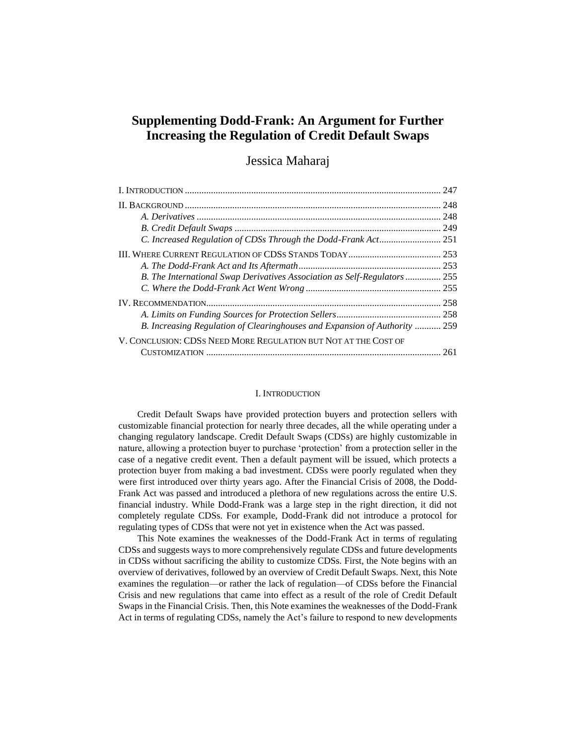# **Supplementing Dodd-Frank: An Argument for Further Increasing the Regulation of Credit Default Swaps**

## Jessica Maharaj

|                                                                            | 247 |
|----------------------------------------------------------------------------|-----|
|                                                                            | 248 |
|                                                                            |     |
|                                                                            |     |
|                                                                            |     |
|                                                                            |     |
|                                                                            |     |
| B. The International Swap Derivatives Association as Self-Regulators  255  |     |
|                                                                            |     |
|                                                                            | 258 |
|                                                                            |     |
| B. Increasing Regulation of Clearinghouses and Expansion of Authority  259 |     |
| V. CONCLUSION: CDSS NEED MORE REGULATION BUT NOT AT THE COST OF            |     |
|                                                                            | 261 |

#### I. INTRODUCTION

Credit Default Swaps have provided protection buyers and protection sellers with customizable financial protection for nearly three decades, all the while operating under a changing regulatory landscape. Credit Default Swaps (CDSs) are highly customizable in nature, allowing a protection buyer to purchase 'protection' from a protection seller in the case of a negative credit event. Then a default payment will be issued, which protects a protection buyer from making a bad investment. CDSs were poorly regulated when they were first introduced over thirty years ago. After the Financial Crisis of 2008, the Dodd-Frank Act was passed and introduced a plethora of new regulations across the entire U.S. financial industry. While Dodd-Frank was a large step in the right direction, it did not completely regulate CDSs. For example, Dodd-Frank did not introduce a protocol for regulating types of CDSs that were not yet in existence when the Act was passed.

This Note examines the weaknesses of the Dodd-Frank Act in terms of regulating CDSs and suggests ways to more comprehensively regulate CDSs and future developments in CDSs without sacrificing the ability to customize CDSs. First, the Note begins with an overview of derivatives, followed by an overview of Credit Default Swaps. Next, this Note examines the regulation—or rather the lack of regulation—of CDSs before the Financial Crisis and new regulations that came into effect as a result of the role of Credit Default Swaps in the Financial Crisis. Then, this Note examines the weaknesses of the Dodd-Frank Act in terms of regulating CDSs, namely the Act's failure to respond to new developments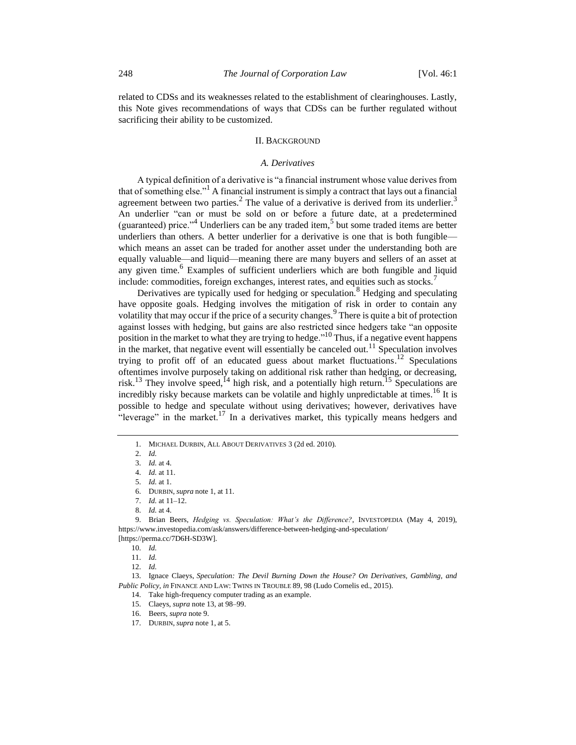related to CDSs and its weaknesses related to the establishment of clearinghouses. Lastly, this Note gives recommendations of ways that CDSs can be further regulated without sacrificing their ability to be customized.

#### II. BACKGROUND

#### <span id="page-1-2"></span><span id="page-1-0"></span>*A. Derivatives*

A typical definition of a derivative is "a financial instrument whose value derives from that of something else."<sup>1</sup> A financial instrument is simply a contract that lays out a financial agreement between two parties.<sup>2</sup> The value of a derivative is derived from its underlier.<sup>3</sup> An underlier "can or must be sold on or before a future date, at a predetermined (guaranteed) price.<sup>34</sup> Underliers can be any traded item,<sup>5</sup> but some traded items are better underliers than others. A better underlier for a derivative is one that is both fungible which means an asset can be traded for another asset under the understanding both are equally valuable—and liquid—meaning there are many buyers and sellers of an asset at any given time. $6$  Examples of sufficient underliers which are both fungible and liquid include: commodities, foreign exchanges, interest rates, and equities such as stocks.<sup>7</sup>

Derivatives are typically used for hedging or speculation.<sup>8</sup> Hedging and speculating have opposite goals. Hedging involves the mitigation of risk in order to contain any volatility that may occur if the price of a security changes.<sup>9</sup> There is quite a bit of protection against losses with hedging, but gains are also restricted since hedgers take "an opposite position in the market to what they are trying to hedge."<sup>10</sup> Thus, if a negative event happens in the market, that negative event will essentially be canceled out.<sup>11</sup> Speculation involves trying to profit off of an educated guess about market fluctuations. <sup>12</sup> Speculations oftentimes involve purposely taking on additional risk rather than hedging, or decreasing, risk.<sup>13</sup> They involve speed,<sup>14</sup> high risk, and a potentially high return.<sup>15</sup> Speculations are incredibly risky because markets can be volatile and highly unpredictable at times.<sup>16</sup> It is possible to hedge and speculate without using derivatives; however, derivatives have "leverage" in the market.<sup>17</sup> In a derivatives market, this typically means hedgers and

9. Brian Beers, *Hedging vs. Speculation: What's the Difference?*, INVESTOPEDIA (May 4, 2019), https://www.investopedia.com/ask/answers/difference-between-hedging-and-speculation/ [https://perma.cc/7D6H-SD3W].

13. Ignace Claeys, *Speculation: The Devil Burning Down the House? On Derivatives, Gambling, and Public Policy*, *in* FINANCE AND LAW: TWINS IN TROUBLE 89, 98 (Ludo Cornelis ed., 2015).

<span id="page-1-1"></span><sup>1.</sup> MICHAEL DURBIN, ALL ABOUT DERIVATIVES 3 (2d ed. 2010).

<sup>2.</sup> *Id.*

<sup>3.</sup> *Id.* at 4.

<sup>4.</sup> *Id.* at 11. 5. *Id.* at 1.

<sup>6.</sup> DURBIN, *supra* not[e 1,](#page-1-0) at 11.

<sup>7.</sup> *Id.* at 11–12.

<sup>8.</sup> *Id.* at 4.

<sup>10.</sup> *Id.*

<sup>11.</sup> *Id.*

<sup>12.</sup> *Id.*

<sup>14.</sup> Take high-frequency computer trading as an example.

<sup>15.</sup> Claeys, *supra* note [13,](#page-1-1) at 98–99.

<sup>16.</sup> Beers, *supra* not[e 9.](#page-1-2)

<sup>17.</sup> DURBIN, *supra* not[e 1,](#page-1-0) at 5.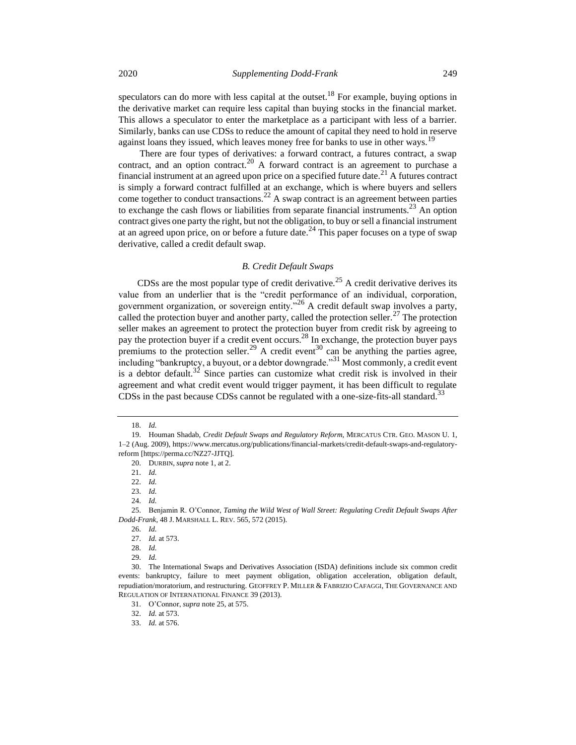2020 *Supplementing Dodd-Frank* 249

speculators can do more with less capital at the outset.<sup>18</sup> For example, buying options in the derivative market can require less capital than buying stocks in the financial market. This allows a speculator to enter the marketplace as a participant with less of a barrier. Similarly, banks can use CDSs to reduce the amount of capital they need to hold in reserve against loans they issued, which leaves money free for banks to use in other ways.<sup>19</sup>

There are four types of derivatives: a forward contract, a futures contract, a swap contract, and an option contract.<sup>20</sup> A forward contract is an agreement to purchase a financial instrument at an agreed upon price on a specified future date.<sup>21</sup> A futures contract is simply a forward contract fulfilled at an exchange, which is where buyers and sellers come together to conduct transactions.<sup>22</sup> A swap contract is an agreement between parties to exchange the cash flows or liabilities from separate financial instruments.<sup>23</sup> An option contract gives one party the right, but not the obligation, to buy or sell a financial instrument at an agreed upon price, on or before a future date.<sup>24</sup> This paper focuses on a type of swap derivative, called a credit default swap.

#### <span id="page-2-1"></span><span id="page-2-0"></span>*B. Credit Default Swaps*

CDSs are the most popular type of credit derivative.<sup>25</sup> A credit derivative derives its value from an underlier that is the "credit performance of an individual, corporation, government organization, or sovereign entity."<sup>26</sup> A credit default swap involves a party, called the protection buyer and another party, called the protection seller.<sup>27</sup> The protection seller makes an agreement to protect the protection buyer from credit risk by agreeing to pay the protection buyer if a credit event occurs.<sup>28</sup> In exchange, the protection buyer pays premiums to the protection seller.<sup>29</sup> A credit event<sup>30</sup> can be anything the parties agree, including "bankruptcy, a buyout, or a debtor downgrade."<sup>31</sup> Most commonly, a credit event is a debtor default.<sup>32</sup> Since parties can customize what credit risk is involved in their agreement and what credit event would trigger payment, it has been difficult to regulate CDSs in the past because CDSs cannot be regulated with a one-size-fits-all standard.<sup>33</sup>

<sup>18.</sup> *Id.*

<sup>19.</sup> Houman Shadab, *Credit Default Swaps and Regulatory Reform*, MERCATUS CTR. GEO. MASON U. 1, 1–2 (Aug. 2009), https://www.mercatus.org/publications/financial-markets/credit-default-swaps-and-regulatoryreform [https://perma.cc/NZ27-JJTQ].

<sup>20.</sup> DURBIN, *supra* not[e 1,](#page-1-0) at 2.

<sup>21.</sup> *Id.*

<sup>22.</sup> *Id.*

<sup>23.</sup> *Id.*

<sup>24.</sup> *Id.*

<sup>25.</sup> Benjamin R. O'Connor, *Taming the Wild West of Wall Street: Regulating Credit Default Swaps After Dodd-Frank*, 48 J. MARSHALL L. REV. 565, 572 (2015).

<sup>26.</sup> *Id.*

<sup>27.</sup> *Id.* at 573.

<sup>28.</sup> *Id.*

<sup>29.</sup> *Id.*

<sup>30.</sup> The International Swaps and Derivatives Association (ISDA) definitions include six common credit events: bankruptcy, failure to meet payment obligation, obligation acceleration, obligation default, repudiation/moratorium, and restructuring. GEOFFREY P. MILLER & FABRIZIO CAFAGGI, THE GOVERNANCE AND REGULATION OF INTERNATIONAL FINANCE 39 (2013).

<sup>31.</sup> O'Connor, *supra* not[e 25,](#page-2-0) at 575.

<sup>32.</sup> *Id.* at 573.

<sup>33.</sup> *Id.* at 576.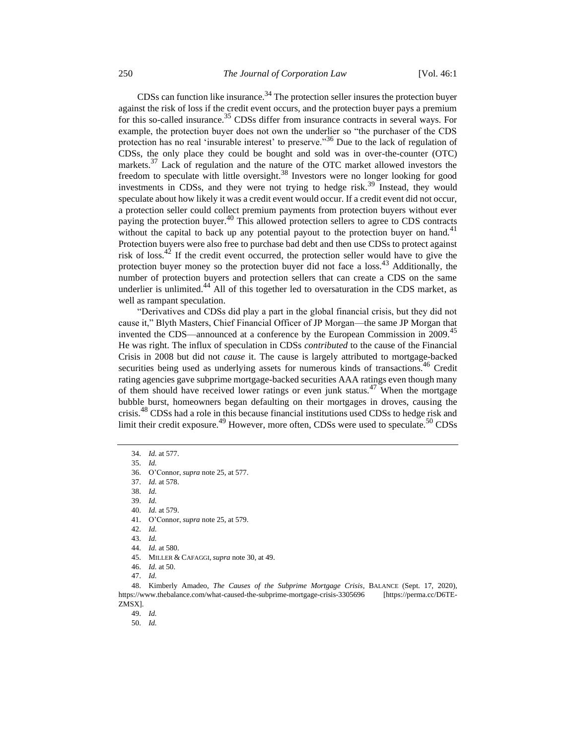CDSs can function like insurance.<sup>34</sup> The protection seller insures the protection buyer against the risk of loss if the credit event occurs, and the protection buyer pays a premium for this so-called insurance.<sup>35</sup> CDSs differ from insurance contracts in several ways. For example, the protection buyer does not own the underlier so "the purchaser of the CDS protection has no real 'insurable interest' to preserve."<sup>36</sup> Due to the lack of regulation of CDSs, the only place they could be bought and sold was in over-the-counter (OTC) markets.<sup>37</sup> Lack of regulation and the nature of the OTC market allowed investors the freedom to speculate with little oversight.<sup>38</sup> Investors were no longer looking for good investments in CDSs, and they were not trying to hedge risk.<sup>39</sup> Instead, they would speculate about how likely it was a credit event would occur. If a credit event did not occur, a protection seller could collect premium payments from protection buyers without ever paying the protection buyer.<sup>40</sup> This allowed protection sellers to agree to CDS contracts without the capital to back up any potential payout to the protection buyer on hand.<sup>41</sup> Protection buyers were also free to purchase bad debt and then use CDSs to protect against risk of loss.<sup>42</sup> If the credit event occurred, the protection seller would have to give the protection buyer money so the protection buyer did not face a loss.<sup>43</sup> Additionally, the number of protection buyers and protection sellers that can create a CDS on the same underlier is unlimited. $^{44}$  All of this together led to oversaturation in the CDS market, as well as rampant speculation.

"Derivatives and CDSs did play a part in the global financial crisis, but they did not cause it," Blyth Masters, Chief Financial Officer of JP Morgan—the same JP Morgan that invented the CDS—announced at a conference by the European Commission in 2009.<sup>45</sup> He was right. The influx of speculation in CDSs *contributed* to the cause of the Financial Crisis in 2008 but did not *cause* it. The cause is largely attributed to mortgage-backed securities being used as underlying assets for numerous kinds of transactions.<sup>46</sup> Credit rating agencies gave subprime mortgage-backed securities AAA ratings even though many of them should have received lower ratings or even junk status.<sup>47</sup> When the mortgage bubble burst, homeowners began defaulting on their mortgages in droves, causing the crisis.<sup>48</sup> CDSs had a role in this because financial institutions used CDSs to hedge risk and limit their credit exposure.<sup>49</sup> However, more often, CDSs were used to speculate.<sup>50</sup> CDSs

35. *Id.* 

36. O'Connor, *supra* not[e 25,](#page-2-0) at 577.

37. *Id.* at 578.

38. *Id.* 

39. *Id.*

40. *Id.* at 579.

41. O'Connor, *supra* not[e 25,](#page-2-0) at 579.

42. *Id.*

43. *Id.*

44. *Id.* at 580.

45. MILLER & CAFAGGI, *supra* not[e 30,](#page-2-1) at 49.

46. *Id.* at 50.

47. *Id.*

48. Kimberly Amadeo, *The Causes of the Subprime Mortgage Crisis*, BALANCE (Sept. 17, 2020), https://www.thebalance.com/what-caused-the-subprime-mortgage-crisis-3305696 [https://perma.cc/D6TE-ZMSX].

49. *Id.*

50. *Id.*

<sup>34.</sup> *Id.* at 577.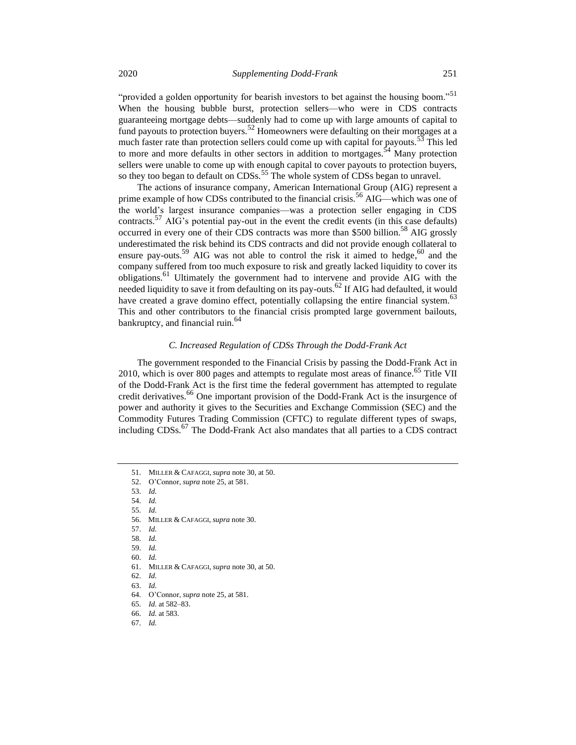"provided a golden opportunity for bearish investors to bet against the housing boom."<sup>51</sup> When the housing bubble burst, protection sellers—who were in CDS contracts guaranteeing mortgage debts—suddenly had to come up with large amounts of capital to fund payouts to protection buyers.<sup>52</sup> Homeowners were defaulting on their mortgages at a much faster rate than protection sellers could come up with capital for payouts.<sup>53</sup> This led to more and more defaults in other sectors in addition to mortgages.<sup>54</sup> Many protection sellers were unable to come up with enough capital to cover payouts to protection buyers, so they too began to default on CDSs.<sup>55</sup> The whole system of CDSs began to unravel.

The actions of insurance company, American International Group (AIG) represent a prime example of how CDSs contributed to the financial crisis.<sup>56</sup> AIG—which was one of the world's largest insurance companies—was a protection seller engaging in CDS contracts.<sup>57</sup> AIG's potential pay-out in the event the credit events (in this case defaults) occurred in every one of their CDS contracts was more than \$500 billion.<sup>58</sup> AIG grossly underestimated the risk behind its CDS contracts and did not provide enough collateral to ensure pay-outs.<sup>59</sup> AIG was not able to control the risk it aimed to hedge,  $60$  and the company suffered from too much exposure to risk and greatly lacked liquidity to cover its obligations.<sup>61</sup> Ultimately the government had to intervene and provide AIG with the needed liquidity to save it from defaulting on its pay-outs.<sup>62</sup> If AIG had defaulted, it would have created a grave domino effect, potentially collapsing the entire financial system.<sup>63</sup> This and other contributors to the financial crisis prompted large government bailouts, bankruptcy, and financial ruin.<sup>64</sup>

#### *C. Increased Regulation of CDSs Through the Dodd-Frank Act*

The government responded to the Financial Crisis by passing the Dodd-Frank Act in 2010, which is over 800 pages and attempts to regulate most areas of finance.<sup>65</sup> Title VII of the Dodd-Frank Act is the first time the federal government has attempted to regulate credit derivatives.<sup>66</sup> One important provision of the Dodd-Frank Act is the insurgence of power and authority it gives to the Securities and Exchange Commission (SEC) and the Commodity Futures Trading Commission (CFTC) to regulate different types of swaps, including CDSs.<sup>67</sup> The Dodd-Frank Act also mandates that all parties to a CDS contract

54. *Id.*

55. *Id.*

58. *Id.* 

59. *Id.*

61. MILLER & CAFAGGI, *supra* not[e 30,](#page-2-1) at 50.

62. *Id.*

63. *Id.*

64. O'Connor, *supra* not[e 25,](#page-2-0) at 581.

65. *Id.* at 582–83.

66. *Id.* at 583.

67. *Id.*

<sup>51.</sup> MILLER & CAFAGGI, *supra* not[e 30,](#page-2-1) at 50.

<sup>52.</sup> O'Connor, *supra* not[e 25,](#page-2-0) at 581.

<sup>53.</sup> *Id.* 

<sup>56.</sup> MILLER & CAFAGGI, *supra* not[e 30.](#page-2-1)

<sup>57.</sup> *Id.*

<sup>60.</sup> *Id.*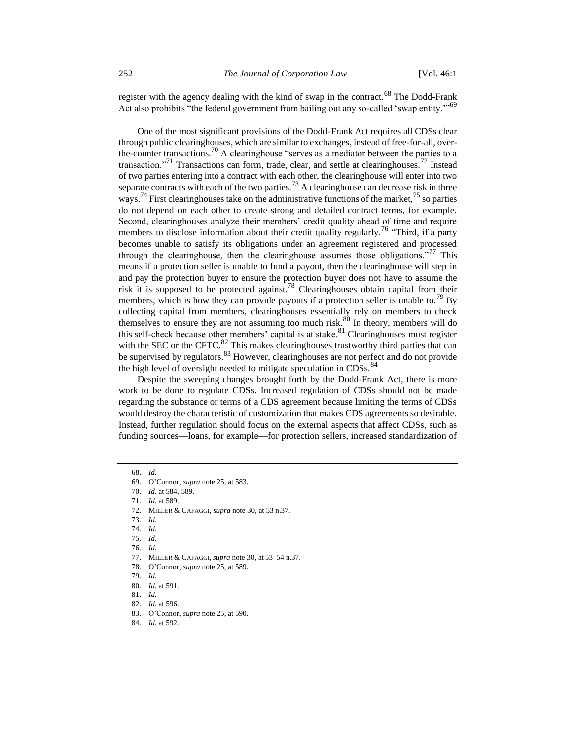register with the agency dealing with the kind of swap in the contract.<sup>68</sup> The Dodd-Frank Act also prohibits "the federal government from bailing out any so-called 'swap entity."<sup>69</sup>

One of the most significant provisions of the Dodd-Frank Act requires all CDSs clear through public clearinghouses, which are similar to exchanges, instead of free-for-all, overthe-counter transactions.<sup>70</sup> A clearinghouse "serves as a mediator between the parties to a transaction."<sup>71</sup> Transactions can form, trade, clear, and settle at clearinghouses.<sup>72</sup> Instead of two parties entering into a contract with each other, the clearinghouse will enter into two separate contracts with each of the two parties.<sup>73</sup> A clearinghouse can decrease risk in three ways.<sup>74</sup> First clearinghouses take on the administrative functions of the market,<sup>75</sup> so parties do not depend on each other to create strong and detailed contract terms, for example. Second, clearinghouses analyze their members' credit quality ahead of time and require members to disclose information about their credit quality regularly.<sup>76</sup> "Third, if a party becomes unable to satisfy its obligations under an agreement registered and processed through the clearinghouse, then the clearinghouse assumes those obligations. $\frac{1}{10}$  This means if a protection seller is unable to fund a payout, then the clearinghouse will step in and pay the protection buyer to ensure the protection buyer does not have to assume the risk it is supposed to be protected against.<sup>78</sup> Clearinghouses obtain capital from their members, which is how they can provide payouts if a protection seller is unable to.<sup>79</sup> By collecting capital from members, clearinghouses essentially rely on members to check themselves to ensure they are not assuming too much risk.<sup>80</sup> In theory, members will do this self-check because other members' capital is at stake.<sup>81</sup> Clearinghouses must register with the SEC or the CFTC.<sup>82</sup> This makes clearinghouses trustworthy third parties that can be supervised by regulators. <sup>83</sup> However, clearinghouses are not perfect and do not provide the high level of oversight needed to mitigate speculation in CDSs.<sup>84</sup>

Despite the sweeping changes brought forth by the Dodd-Frank Act, there is more work to be done to regulate CDSs. Increased regulation of CDSs should not be made regarding the substance or terms of a CDS agreement because limiting the terms of CDSs would destroy the characteristic of customization that makes CDS agreements so desirable. Instead, further regulation should focus on the external aspects that affect CDSs, such as funding sources—loans, for example—for protection sellers, increased standardization of

72. MILLER & CAFAGGI, *supra* not[e 30,](#page-2-1) at 53 n.37.

75. *Id.*

83. O'Connor, *supra* not[e 25,](#page-2-0) at 590.

<sup>68.</sup> *Id.*

<sup>69.</sup> O'Connor, *supra* not[e 25,](#page-2-0) at 583.

<sup>70.</sup> *Id.* at 584, 589.

<sup>71.</sup> *Id.* at 589.

<sup>73.</sup> *Id.*

<sup>74.</sup> *Id.*

<sup>76.</sup> *Id.*

<sup>77.</sup> MILLER & CAFAGGI, *supra* not[e 30,](#page-2-1) at 53–54 n.37.

<sup>78.</sup> O'Connor, *supra* not[e 25,](#page-2-0) at 589.

<sup>79.</sup> *Id.*

<sup>80.</sup> *Id.* at 591. 81. *Id.*

<sup>82.</sup> *Id.* at 596.

<sup>84.</sup> *Id.* at 592.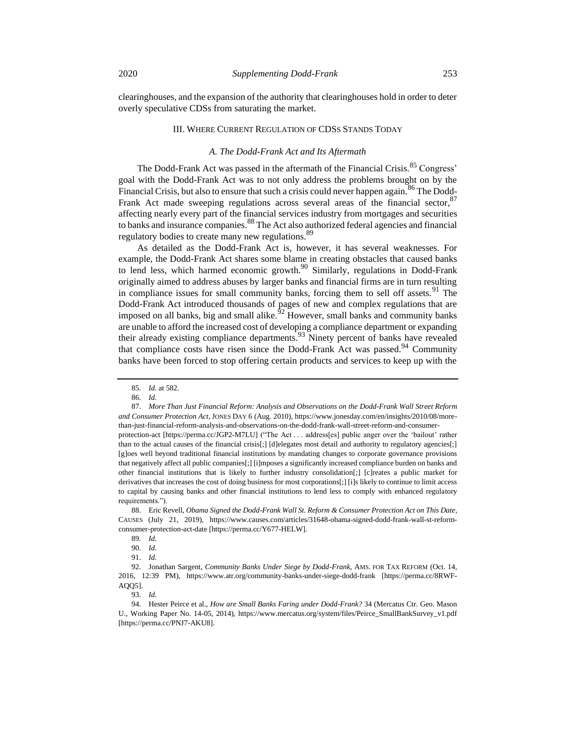clearinghouses, and the expansion of the authority that clearinghouses hold in order to deter overly speculative CDSs from saturating the market.

#### III. WHERE CURRENT REGULATION OF CDSS STANDS TODAY

#### <span id="page-6-2"></span><span id="page-6-1"></span>*A. The Dodd-Frank Act and Its Aftermath*

The Dodd-Frank Act was passed in the aftermath of the Financial Crisis.<sup>85</sup> Congress' goal with the Dodd-Frank Act was to not only address the problems brought on by the Financial Crisis, but also to ensure that such a crisis could never happen again.<sup>86</sup> The Dodd-Frank Act made sweeping regulations across several areas of the financial sector, <sup>87</sup> affecting nearly every part of the financial services industry from mortgages and securities to banks and insurance companies.<sup>88</sup> The Act also authorized federal agencies and financial regulatory bodies to create many new regulations.<sup>8</sup>

As detailed as the Dodd-Frank Act is, however, it has several weaknesses. For example, the Dodd-Frank Act shares some blame in creating obstacles that caused banks to lend less, which harmed economic growth.<sup>90</sup> Similarly, regulations in Dodd-Frank originally aimed to address abuses by larger banks and financial firms are in turn resulting in compliance issues for small community banks, forcing them to sell off assets.<sup>91</sup> The Dodd-Frank Act introduced thousands of pages of new and complex regulations that are imposed on all banks, big and small alike.<sup> $62$ </sup> However, small banks and community banks are unable to afford the increased cost of developing a compliance department or expanding their already existing compliance departments.<sup>93</sup> Ninety percent of banks have revealed that compliance costs have risen since the Dodd-Frank Act was passed.<sup>94</sup> Community banks have been forced to stop offering certain products and services to keep up with the

87. *More Than Just Financial Reform: Analysis and Observations on the Dodd-Frank Wall Street Reform and Consumer Protection Act,* JONES DAY 6 (Aug. 2010), https://www.jonesday.com/en/insights/2010/08/morethan-just-financial-reform-analysis-and-observations-on-the-dodd-frank-wall-street-reform-and-consumerprotection-act [https://perma.cc/JGP2-M7LU] ("The Act . . . address[es] public anger over the 'bailout' rather than to the actual causes of the financial crisis[;] [d]elegates most detail and authority to regulatory agencies[;] [g]oes well beyond traditional financial institutions by mandating changes to corporate governance provisions that negatively affect all public companies[;] [i]mposes a significantly increased compliance burden on banks and other financial institutions that is likely to further industry consolidation[;] [c]reates a public market for derivatives that increases the cost of doing business for most corporations[;] [i]s likely to continue to limit access to capital by causing banks and other financial institutions to lend less to comply with enhanced regulatory requirements.").

88. Eric Revell, *Obama Signed the Dodd-Frank Wall St. Reform & Consumer Protection Act on This Date*, CAUSES (July 21, 2019), https://www.causes.com/articles/31648-obama-signed-dodd-frank-wall-st-reformconsumer-protection-act-date [https://perma.cc/Y677-HELW].

90. *Id.*

92. Jonathan Sargent, *Community Banks Under Siege by Dodd-Frank*, AMS. FOR TAX REFORM (Oct. 14, 2016, 12:39 PM), https://www.atr.org/community-banks-under-siege-dodd-frank [https://perma.cc/8RWF-AQQ5].

93. *Id.*

94. Hester Peirce et al., *How are Small Banks Faring under Dodd-Frank?* 34 (Mercatus Ctr. Geo. Mason U., Working Paper No. 14-05, 2014), https://www.mercatus.org/system/files/Peirce\_SmallBankSurvey\_v1.pdf [https://perma.cc/PNJ7-AKU8].

<span id="page-6-0"></span><sup>85.</sup> *Id.* at 582.

<sup>86.</sup> *Id.*

<sup>89.</sup> *Id.*

<sup>91.</sup> *Id.*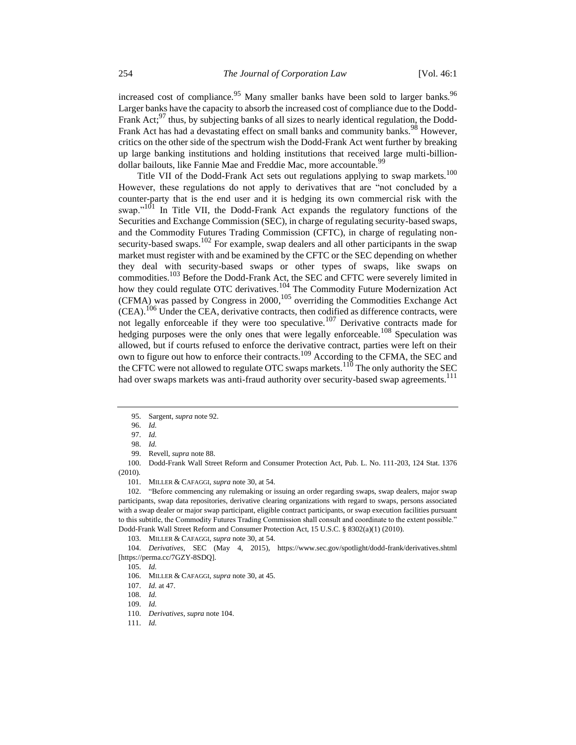increased cost of compliance.<sup>95</sup> Many smaller banks have been sold to larger banks.<sup>96</sup> Larger banks have the capacity to absorb the increased cost of compliance due to the Dodd-Frank Act;<sup>97</sup> thus, by subjecting banks of all sizes to nearly identical regulation, the Dodd-Frank Act has had a devastating effect on small banks and community banks.<sup>98</sup> However, critics on the other side of the spectrum wish the Dodd-Frank Act went further by breaking up large banking institutions and holding institutions that received large multi-billiondollar bailouts, like Fannie Mae and Freddie Mac, more accountable.<sup>99</sup>

<span id="page-7-0"></span>Title VII of the Dodd-Frank Act sets out regulations applying to swap markets.<sup>100</sup> However, these regulations do not apply to derivatives that are "not concluded by a counter-party that is the end user and it is hedging its own commercial risk with the swap."<sup>101</sup> In Title VII, the Dodd-Frank Act expands the regulatory functions of the Securities and Exchange Commission (SEC), in charge of regulating security-based swaps, and the Commodity Futures Trading Commission (CFTC), in charge of regulating nonsecurity-based swaps.<sup>102</sup> For example, swap dealers and all other participants in the swap market must register with and be examined by the CFTC or the SEC depending on whether they deal with security-based swaps or other types of swaps, like swaps on commodities.<sup>103</sup> Before the Dodd-Frank Act, the SEC and CFTC were severely limited in how they could regulate OTC derivatives.<sup>104</sup> The Commodity Future Modernization Act (CFMA) was passed by Congress in 2000, <sup>105</sup> overriding the Commodities Exchange Act  $(CEA)$ .<sup>106</sup> Under the CEA, derivative contracts, then codified as difference contracts, were not legally enforceable if they were too speculative.<sup>107</sup> Derivative contracts made for hedging purposes were the only ones that were legally enforceable.<sup>108</sup> Speculation was allowed, but if courts refused to enforce the derivative contract, parties were left on their own to figure out how to enforce their contracts.<sup>109</sup> According to the CFMA, the SEC and the CFTC were not allowed to regulate OTC swaps markets.<sup>110</sup> The only authority the SEC had over swaps markets was anti-fraud authority over security-based swap agreements.<sup>111</sup>

100. Dodd-Frank Wall Street Reform and Consumer Protection Act, Pub. L. No. 111-203, 124 Stat. 1376 (2010).

102. "Before commencing any rulemaking or issuing an order regarding swaps, swap dealers, major swap participants, swap data repositories, derivative clearing organizations with regard to swaps, persons associated with a swap dealer or major swap participant, eligible contract participants, or swap execution facilities pursuant to this subtitle, the Commodity Futures Trading Commission shall consult and coordinate to the extent possible." Dodd-Frank Wall Street Reform and Consumer Protection Act, 15 U.S.C. § 8302(a)(1) (2010).

103. MILLER & CAFAGGI, *supra* not[e 30,](#page-2-1) at 54.

104. *Derivatives*, SEC (May 4, 2015), https://www.sec.gov/spotlight/dodd-frank/derivatives.shtml [https://perma.cc/7GZY-8SDQ].

<sup>95.</sup> Sargent, *supra* not[e 92.](#page-6-0)

<sup>96.</sup> *Id.*

<sup>97.</sup> *Id.*

<sup>98.</sup> *Id.*

<sup>99.</sup> Revell, *supra* note [88.](#page-6-1)

<sup>101.</sup> MILLER & CAFAGGI, *supra* not[e 30,](#page-2-1) at 54.

<sup>105.</sup> *Id.*

<sup>106.</sup> MILLER & CAFAGGI, *supra* not[e 30,](#page-2-1) at 45.

<sup>107.</sup> *Id.* at 47.

<sup>108.</sup> *Id.*

<sup>109.</sup> *Id.* 

<sup>110.</sup> *Derivatives*, *supra* not[e 104.](#page-7-0)

<sup>111.</sup> *Id.*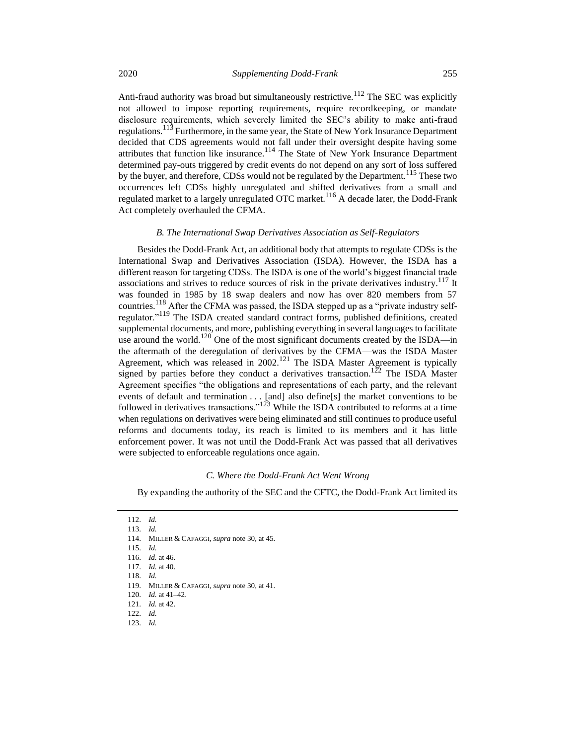Anti-fraud authority was broad but simultaneously restrictive.<sup>112</sup> The SEC was explicitly not allowed to impose reporting requirements, require recordkeeping, or mandate disclosure requirements, which severely limited the SEC's ability to make anti-fraud regulations.<sup>113</sup> Furthermore, in the same year, the State of New York Insurance Department decided that CDS agreements would not fall under their oversight despite having some attributes that function like insurance.<sup>114</sup> The State of New York Insurance Department determined pay-outs triggered by credit events do not depend on any sort of loss suffered by the buyer, and therefore, CDSs would not be regulated by the Department.<sup>115</sup> These two occurrences left CDSs highly unregulated and shifted derivatives from a small and regulated market to a largely unregulated OTC market.<sup>116</sup> A decade later, the Dodd-Frank Act completely overhauled the CFMA.

#### *B. The International Swap Derivatives Association as Self-Regulators*

Besides the Dodd-Frank Act, an additional body that attempts to regulate CDSs is the International Swap and Derivatives Association (ISDA). However, the ISDA has a different reason for targeting CDSs. The ISDA is one of the world's biggest financial trade associations and strives to reduce sources of risk in the private derivatives industry.<sup>117</sup> It was founded in 1985 by 18 swap dealers and now has over 820 members from 57 countries.<sup>118</sup> After the CFMA was passed, the ISDA stepped up as a "private industry selfregulator."<sup>119</sup> The ISDA created standard contract forms, published definitions, created supplemental documents, and more, publishing everything in several languages to facilitate use around the world.<sup>120</sup> One of the most significant documents created by the ISDA—in the aftermath of the deregulation of derivatives by the CFMA—was the ISDA Master Agreement, which was released in  $2002$ .<sup>121</sup> The ISDA Master Agreement is typically signed by parties before they conduct a derivatives transaction.<sup>122</sup> The ISDA Master Agreement specifies "the obligations and representations of each party, and the relevant events of default and termination . . . [and] also define[s] the market conventions to be followed in derivatives transactions."<sup>123</sup> While the ISDA contributed to reforms at a time when regulations on derivatives were being eliminated and still continues to produce useful reforms and documents today, its reach is limited to its members and it has little enforcement power. It was not until the Dodd-Frank Act was passed that all derivatives were subjected to enforceable regulations once again.

#### *C. Where the Dodd-Frank Act Went Wrong*

By expanding the authority of the SEC and the CFTC, the Dodd-Frank Act limited its

115. *Id.*

<sup>112.</sup> *Id.*

<sup>113.</sup> *Id.*

<sup>114.</sup> MILLER & CAFAGGI, *supra* not[e 30,](#page-2-1) at 45.

<sup>116.</sup> *Id.* at 46.

<sup>117.</sup> *Id.* at 40.

<sup>118.</sup> *Id.*

<sup>119.</sup> MILLER & CAFAGGI, *supra* not[e 30,](#page-2-1) at 41.

<sup>120.</sup> *Id.* at 41–42. 121. *Id.* at 42.

<sup>122.</sup> *Id.*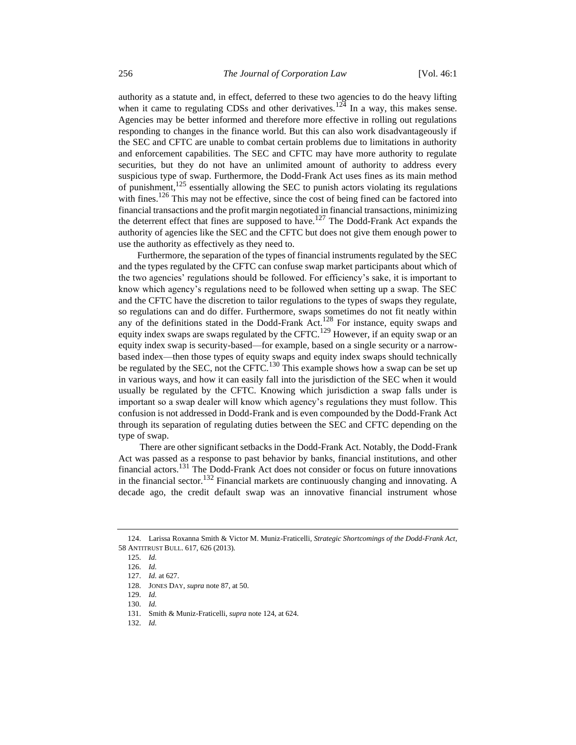<span id="page-9-0"></span>authority as a statute and, in effect, deferred to these two agencies to do the heavy lifting when it came to regulating CDSs and other derivatives.<sup>124</sup> In a way, this makes sense. Agencies may be better informed and therefore more effective in rolling out regulations responding to changes in the finance world. But this can also work disadvantageously if the SEC and CFTC are unable to combat certain problems due to limitations in authority and enforcement capabilities. The SEC and CFTC may have more authority to regulate securities, but they do not have an unlimited amount of authority to address every suspicious type of swap. Furthermore, the Dodd-Frank Act uses fines as its main method of punishment,<sup>125</sup> essentially allowing the SEC to punish actors violating its regulations with fines.<sup>126</sup> This may not be effective, since the cost of being fined can be factored into financial transactions and the profit margin negotiated in financial transactions, minimizing the deterrent effect that fines are supposed to have.<sup>127</sup> The Dodd-Frank Act expands the authority of agencies like the SEC and the CFTC but does not give them enough power to use the authority as effectively as they need to.

Furthermore, the separation of the types of financial instruments regulated by the SEC and the types regulated by the CFTC can confuse swap market participants about which of the two agencies' regulations should be followed. For efficiency's sake, it is important to know which agency's regulations need to be followed when setting up a swap. The SEC and the CFTC have the discretion to tailor regulations to the types of swaps they regulate, so regulations can and do differ. Furthermore, swaps sometimes do not fit neatly within any of the definitions stated in the Dodd-Frank Act.<sup>128</sup> For instance, equity swaps and equity index swaps are swaps regulated by the CFTC.<sup>129</sup> However, if an equity swap or an equity index swap is security-based—for example, based on a single security or a narrowbased index—then those types of equity swaps and equity index swaps should technically be regulated by the SEC, not the CFTC.<sup>130</sup> This example shows how a swap can be set up in various ways, and how it can easily fall into the jurisdiction of the SEC when it would usually be regulated by the CFTC. Knowing which jurisdiction a swap falls under is important so a swap dealer will know which agency's regulations they must follow. This confusion is not addressed in Dodd-Frank and is even compounded by the Dodd-Frank Act through its separation of regulating duties between the SEC and CFTC depending on the type of swap.

There are other significant setbacks in the Dodd-Frank Act. Notably, the Dodd-Frank Act was passed as a response to past behavior by banks, financial institutions, and other financial actors.<sup>131</sup> The Dodd-Frank Act does not consider or focus on future innovations in the financial sector.<sup>132</sup> Financial markets are continuously changing and innovating. A decade ago, the credit default swap was an innovative financial instrument whose

<sup>124.</sup> Larissa Roxanna Smith & Victor M. Muniz-Fraticelli*, Strategic Shortcomings of the Dodd-Frank Act*, 58 ANTITRUST BULL. 617, 626 (2013).

<sup>125.</sup> *Id.*

<sup>126.</sup> *Id.*

<sup>127.</sup> *Id.* at 627.

<sup>128.</sup> JONES DAY, *supra* not[e 87,](#page-6-2) at 50.

<sup>129.</sup> *Id.*

<sup>130.</sup> *Id.* 

<sup>131.</sup> Smith & Muniz-Fraticelli*, supra* note [124,](#page-9-0) at 624.

<sup>132.</sup> *Id.*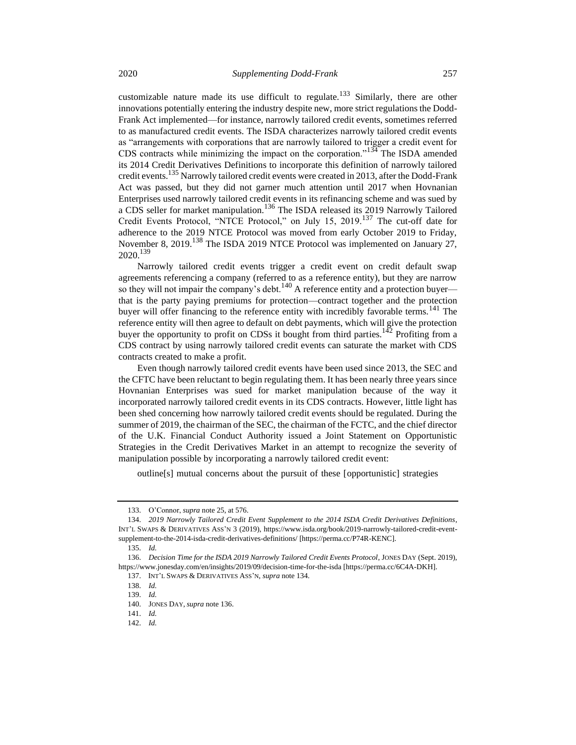<span id="page-10-0"></span>customizable nature made its use difficult to regulate.<sup>133</sup> Similarly, there are other innovations potentially entering the industry despite new, more strict regulations the Dodd-Frank Act implemented—for instance, narrowly tailored credit events, sometimes referred to as manufactured credit events. The ISDA characterizes narrowly tailored credit events as "arrangements with corporations that are narrowly tailored to trigger a credit event for CDS contracts while minimizing the impact on the corporation."<sup>134</sup> The ISDA amended its 2014 Credit Derivatives Definitions to incorporate this definition of narrowly tailored credit events.<sup>135</sup> Narrowly tailored credit events were created in 2013, after the Dodd-Frank Act was passed, but they did not garner much attention until 2017 when Hovnanian Enterprises used narrowly tailored credit events in its refinancing scheme and was sued by a CDS seller for market manipulation.<sup>136</sup> The ISDA released its 2019 Narrowly Tailored Credit Events Protocol, "NTCE Protocol," on July 15, 2019.<sup>137</sup> The cut-off date for adherence to the 2019 NTCE Protocol was moved from early October 2019 to Friday, November 8, 2019.<sup>138</sup> The ISDA 2019 NTCE Protocol was implemented on January 27, 2020.<sup>139</sup>

<span id="page-10-1"></span>Narrowly tailored credit events trigger a credit event on credit default swap agreements referencing a company (referred to as a reference entity), but they are narrow so they will not impair the company's debt.<sup>140</sup> A reference entity and a protection buyer that is the party paying premiums for protection—contract together and the protection buyer will offer financing to the reference entity with incredibly favorable terms.<sup>141</sup> The reference entity will then agree to default on debt payments, which will give the protection buyer the opportunity to profit on CDSs it bought from third parties.<sup>142</sup> Profiting from a CDS contract by using narrowly tailored credit events can saturate the market with CDS contracts created to make a profit.

Even though narrowly tailored credit events have been used since 2013, the SEC and the CFTC have been reluctant to begin regulating them. It has been nearly three years since Hovnanian Enterprises was sued for market manipulation because of the way it incorporated narrowly tailored credit events in its CDS contracts. However, little light has been shed concerning how narrowly tailored credit events should be regulated. During the summer of 2019, the chairman of the SEC, the chairman of the FCTC, and the chief director of the U.K. Financial Conduct Authority issued a Joint Statement on Opportunistic Strategies in the Credit Derivatives Market in an attempt to recognize the severity of manipulation possible by incorporating a narrowly tailored credit event:

outline[s] mutual concerns about the pursuit of these [opportunistic] strategies

<sup>133.</sup> O'Connor, *supra* not[e 25,](#page-2-0) at 576.

<sup>134.</sup> *2019 Narrowly Tailored Credit Event Supplement to the 2014 ISDA Credit Derivatives Definitions*, INT'L SWAPS & DERIVATIVES ASS'N 3 (2019), https://www.isda.org/book/2019-narrowly-tailored-credit-eventsupplement-to-the-2014-isda-credit-derivatives-definitions/ [https://perma.cc/P74R-KENC].

<sup>135.</sup> *Id.*

<sup>136.</sup> *Decision Time for the ISDA 2019 Narrowly Tailored Credit Events Protocol*, JONES DAY (Sept. 2019), https://www.jonesday.com/en/insights/2019/09/decision-time-for-the-isda [https://perma.cc/6C4A-DKH].

<sup>137.</sup> INT'L SWAPS & DERIVATIVES ASS'N, *supra* not[e 134.](#page-10-0)

<sup>138.</sup> *Id.*

<sup>139.</sup> *Id.*

<sup>140.</sup> JONES DAY, *supra* not[e 136.](#page-10-1)

<sup>141.</sup> *Id.* 142. *Id.*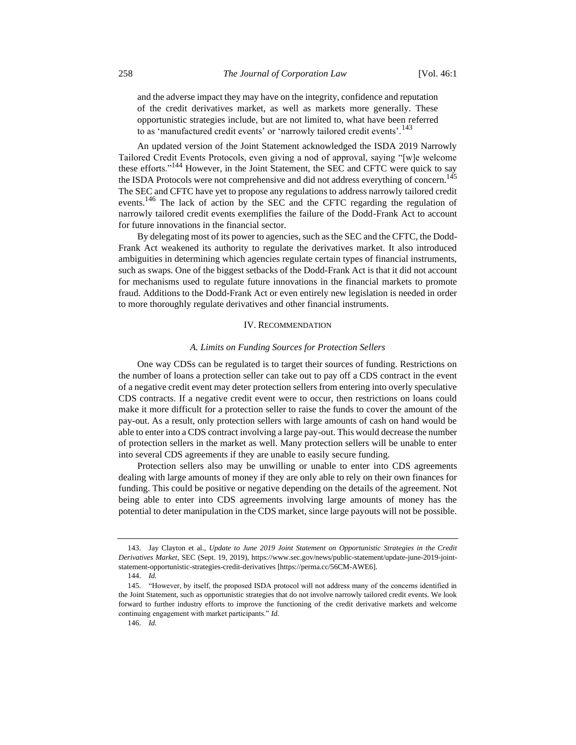and the adverse impact they may have on the integrity, confidence and reputation of the credit derivatives market, as well as markets more generally. These opportunistic strategies include, but are not limited to, what have been referred to as 'manufactured credit events' or 'narrowly tailored credit events'.<sup>143</sup>

An updated version of the Joint Statement acknowledged the ISDA 2019 Narrowly Tailored Credit Events Protocols, even giving a nod of approval, saying "[w]e welcome these efforts."<sup>144</sup> However, in the Joint Statement, the SEC and CFTC were quick to say the ISDA Protocols were not comprehensive and did not address everything of concern.<sup>1</sup> The SEC and CFTC have yet to propose any regulations to address narrowly tailored credit events.<sup>146</sup> The lack of action by the SEC and the CFTC regarding the regulation of narrowly tailored credit events exemplifies the failure of the Dodd-Frank Act to account for future innovations in the financial sector.

By delegating most of its power to agencies, such as the SEC and the CFTC, the Dodd-Frank Act weakened its authority to regulate the derivatives market. It also introduced ambiguities in determining which agencies regulate certain types of financial instruments, such as swaps. One of the biggest setbacks of the Dodd-Frank Act is that it did not account for mechanisms used to regulate future innovations in the financial markets to promote fraud. Additions to the Dodd-Frank Act or even entirely new legislation is needed in order to more thoroughly regulate derivatives and other financial instruments.

#### IV. RECOMMENDATION

#### *A. Limits on Funding Sources for Protection Sellers*

One way CDSs can be regulated is to target their sources of funding. Restrictions on the number of loans a protection seller can take out to pay off a CDS contract in the event of a negative credit event may deter protection sellers from entering into overly speculative CDS contracts. If a negative credit event were to occur, then restrictions on loans could make it more difficult for a protection seller to raise the funds to cover the amount of the pay-out. As a result, only protection sellers with large amounts of cash on hand would be able to enter into a CDS contract involving a large pay-out. This would decrease the number of protection sellers in the market as well. Many protection sellers will be unable to enter into several CDS agreements if they are unable to easily secure funding.

Protection sellers also may be unwilling or unable to enter into CDS agreements dealing with large amounts of money if they are only able to rely on their own finances for funding. This could be positive or negative depending on the details of the agreement. Not being able to enter into CDS agreements involving large amounts of money has the potential to deter manipulation in the CDS market, since large payouts will not be possible.

<sup>143.</sup> Jay Clayton et al., *Update to June 2019 Joint Statement on Opportunistic Strategies in the Credit Derivatives Market*, SEC (Sept. 19, 2019), https://www.sec.gov/news/public-statement/update-june-2019-jointstatement-opportunistic-strategies-credit-derivatives [https://perma.cc/56CM-AWE6].

<sup>144.</sup> *Id.*

<sup>145.</sup> "However, by itself, the proposed ISDA protocol will not address many of the concerns identified in the Joint Statement, such as opportunistic strategies that do not involve narrowly tailored credit events. We look forward to further industry efforts to improve the functioning of the credit derivative markets and welcome continuing engagement with market participants." *Id.*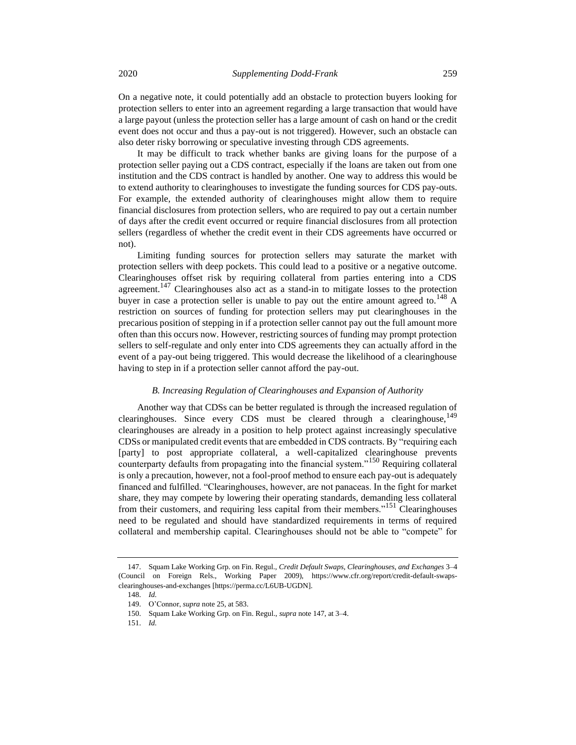On a negative note, it could potentially add an obstacle to protection buyers looking for protection sellers to enter into an agreement regarding a large transaction that would have a large payout (unless the protection seller has a large amount of cash on hand or the credit event does not occur and thus a pay-out is not triggered). However, such an obstacle can also deter risky borrowing or speculative investing through CDS agreements.

It may be difficult to track whether banks are giving loans for the purpose of a protection seller paying out a CDS contract, especially if the loans are taken out from one institution and the CDS contract is handled by another. One way to address this would be to extend authority to clearinghouses to investigate the funding sources for CDS pay-outs. For example, the extended authority of clearinghouses might allow them to require financial disclosures from protection sellers, who are required to pay out a certain number of days after the credit event occurred or require financial disclosures from all protection sellers (regardless of whether the credit event in their CDS agreements have occurred or not).

<span id="page-12-0"></span>Limiting funding sources for protection sellers may saturate the market with protection sellers with deep pockets. This could lead to a positive or a negative outcome. Clearinghouses offset risk by requiring collateral from parties entering into a CDS agreement.<sup>147</sup> Clearinghouses also act as a stand-in to mitigate losses to the protection buyer in case a protection seller is unable to pay out the entire amount agreed to.<sup>148</sup> A restriction on sources of funding for protection sellers may put clearinghouses in the precarious position of stepping in if a protection seller cannot pay out the full amount more often than this occurs now. However, restricting sources of funding may prompt protection sellers to self-regulate and only enter into CDS agreements they can actually afford in the event of a pay-out being triggered. This would decrease the likelihood of a clearinghouse having to step in if a protection seller cannot afford the pay-out.

#### *B. Increasing Regulation of Clearinghouses and Expansion of Authority*

Another way that CDSs can be better regulated is through the increased regulation of clearinghouses. Since every CDS must be cleared through a clearinghouse,  $^{149}$ clearinghouses are already in a position to help protect against increasingly speculative CDSs or manipulated credit events that are embedded in CDS contracts. By "requiring each [party] to post appropriate collateral, a well-capitalized clearinghouse prevents counterparty defaults from propagating into the financial system."<sup>150</sup> Requiring collateral is only a precaution, however, not a fool-proof method to ensure each pay-out is adequately financed and fulfilled. "Clearinghouses, however, are not panaceas. In the fight for market share, they may compete by lowering their operating standards, demanding less collateral from their customers, and requiring less capital from their members."<sup>151</sup> Clearinghouses need to be regulated and should have standardized requirements in terms of required collateral and membership capital. Clearinghouses should not be able to "compete" for

<sup>147.</sup> Squam Lake Working Grp. on Fin. Regul., *Credit Default Swaps, Clearinghouses, and Exchanges* 3–4 (Council on Foreign Rels., Working Paper 2009), https://www.cfr.org/report/credit-default-swapsclearinghouses-and-exchanges [https://perma.cc/L6UB-UGDN].

<sup>148.</sup> *Id.*

<sup>149.</sup> O'Connor, *supra* not[e 25,](#page-2-0) at 583.

<sup>150.</sup> Squam Lake Working Grp. on Fin. Regul., *supra* note [147,](#page-12-0) at 3–4.

<sup>151.</sup> *Id.*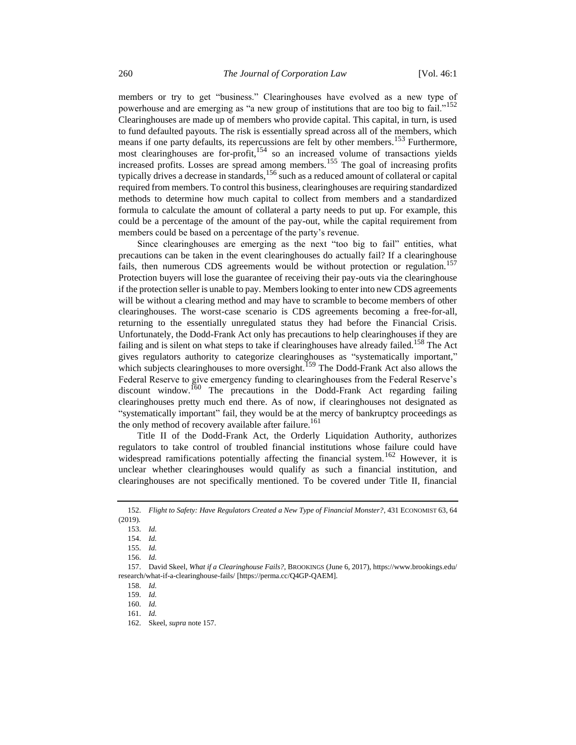members or try to get "business." Clearinghouses have evolved as a new type of powerhouse and are emerging as "a new group of institutions that are too big to fail."<sup>152</sup> Clearinghouses are made up of members who provide capital. This capital, in turn, is used to fund defaulted payouts. The risk is essentially spread across all of the members, which means if one party defaults, its repercussions are felt by other members.<sup>153</sup> Furthermore, most clearinghouses are for-profit,<sup>154</sup> so an increased volume of transactions yields increased profits. Losses are spread among members.<sup>155</sup> The goal of increasing profits typically drives a decrease in standards,  $156$  such as a reduced amount of collateral or capital required from members. To control this business, clearinghouses are requiring standardized methods to determine how much capital to collect from members and a standardized formula to calculate the amount of collateral a party needs to put up. For example, this could be a percentage of the amount of the pay-out, while the capital requirement from members could be based on a percentage of the party's revenue.

<span id="page-13-0"></span>Since clearinghouses are emerging as the next "too big to fail" entities, what precautions can be taken in the event clearinghouses do actually fail? If a clearinghouse fails, then numerous CDS agreements would be without protection or regulation.<sup>157</sup> Protection buyers will lose the guarantee of receiving their pay-outs via the clearinghouse if the protection seller is unable to pay. Members looking to enter into new CDS agreements will be without a clearing method and may have to scramble to become members of other clearinghouses. The worst-case scenario is CDS agreements becoming a free-for-all, returning to the essentially unregulated status they had before the Financial Crisis. Unfortunately, the Dodd-Frank Act only has precautions to help clearinghouses if they are failing and is silent on what steps to take if clearinghouses have already failed.<sup>158</sup> The Act gives regulators authority to categorize clearinghouses as "systematically important," which subjects clearinghouses to more oversight.<sup>159</sup> The Dodd-Frank Act also allows the Federal Reserve to give emergency funding to clearinghouses from the Federal Reserve's discount window.<sup>160</sup> The precautions in the Dodd-Frank Act regarding failing clearinghouses pretty much end there. As of now, if clearinghouses not designated as "systematically important" fail, they would be at the mercy of bankruptcy proceedings as the only method of recovery available after failure.<sup>161</sup>

Title II of the Dodd-Frank Act, the Orderly Liquidation Authority, authorizes regulators to take control of troubled financial institutions whose failure could have widespread ramifications potentially affecting the financial system.<sup>162</sup> However, it is unclear whether clearinghouses would qualify as such a financial institution, and clearinghouses are not specifically mentioned. To be covered under Title II, financial

<sup>152.</sup> *Flight to Safety: Have Regulators Created a New Type of Financial Monster?*, 431 ECONOMIST 63, 64 (2019).

<sup>153.</sup> *Id.*

<sup>154.</sup> *Id.*

<sup>155.</sup> *Id.*

<sup>156.</sup> *Id.*

<sup>157.</sup> David Skeel, *What if a Clearinghouse Fails?*, BROOKINGS (June 6, 2017), https://www.brookings.edu/ research/what-if-a-clearinghouse-fails/ [https://perma.cc/Q4GP-QAEM].

<sup>158.</sup> *Id.*

<sup>159.</sup> *Id.*

<sup>160.</sup> *Id.*

<sup>161.</sup> *Id.*

<sup>162.</sup> Skeel, *supra* note [157.](#page-13-0)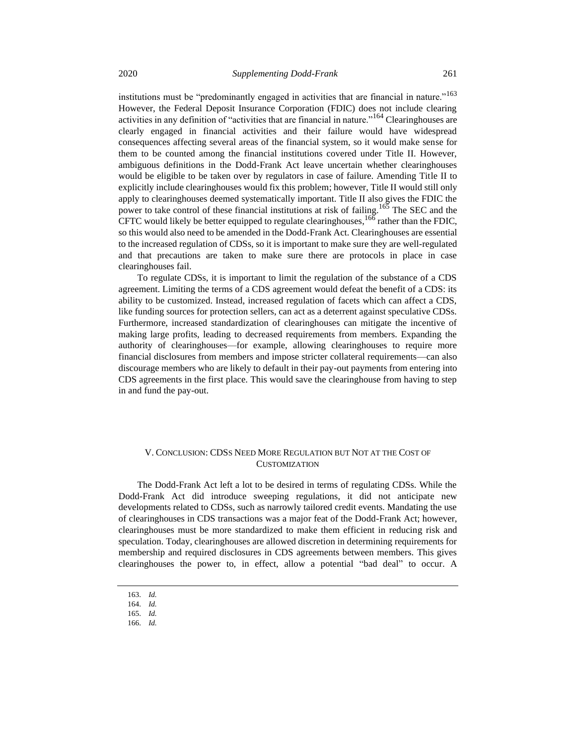institutions must be "predominantly engaged in activities that are financial in nature."<sup>163</sup> However, the Federal Deposit Insurance Corporation (FDIC) does not include clearing activities in any definition of "activities that are financial in nature."<sup>164</sup> Clearinghouses are clearly engaged in financial activities and their failure would have widespread consequences affecting several areas of the financial system, so it would make sense for them to be counted among the financial institutions covered under Title II. However, ambiguous definitions in the Dodd-Frank Act leave uncertain whether clearinghouses would be eligible to be taken over by regulators in case of failure. Amending Title II to explicitly include clearinghouses would fix this problem; however, Title II would still only apply to clearinghouses deemed systematically important. Title II also gives the FDIC the power to take control of these financial institutions at risk of failing.<sup>165</sup> The SEC and the CFTC would likely be better equipped to regulate clearinghouses, <sup>166</sup> rather than the FDIC, so this would also need to be amended in the Dodd-Frank Act. Clearinghouses are essential to the increased regulation of CDSs, so it is important to make sure they are well-regulated and that precautions are taken to make sure there are protocols in place in case clearinghouses fail.

To regulate CDSs, it is important to limit the regulation of the substance of a CDS agreement. Limiting the terms of a CDS agreement would defeat the benefit of a CDS: its ability to be customized. Instead, increased regulation of facets which can affect a CDS, like funding sources for protection sellers, can act as a deterrent against speculative CDSs. Furthermore, increased standardization of clearinghouses can mitigate the incentive of making large profits, leading to decreased requirements from members. Expanding the authority of clearinghouses—for example, allowing clearinghouses to require more financial disclosures from members and impose stricter collateral requirements—can also discourage members who are likely to default in their pay-out payments from entering into CDS agreements in the first place. This would save the clearinghouse from having to step in and fund the pay-out.

### V. CONCLUSION: CDSS NEED MORE REGULATION BUT NOT AT THE COST OF **CUSTOMIZATION**

The Dodd-Frank Act left a lot to be desired in terms of regulating CDSs. While the Dodd-Frank Act did introduce sweeping regulations, it did not anticipate new developments related to CDSs, such as narrowly tailored credit events. Mandating the use of clearinghouses in CDS transactions was a major feat of the Dodd-Frank Act; however, clearinghouses must be more standardized to make them efficient in reducing risk and speculation. Today, clearinghouses are allowed discretion in determining requirements for membership and required disclosures in CDS agreements between members. This gives clearinghouses the power to, in effect, allow a potential "bad deal" to occur. A

<sup>163.</sup> *Id.*

<sup>164.</sup> *Id.*

<sup>165.</sup> *Id.*